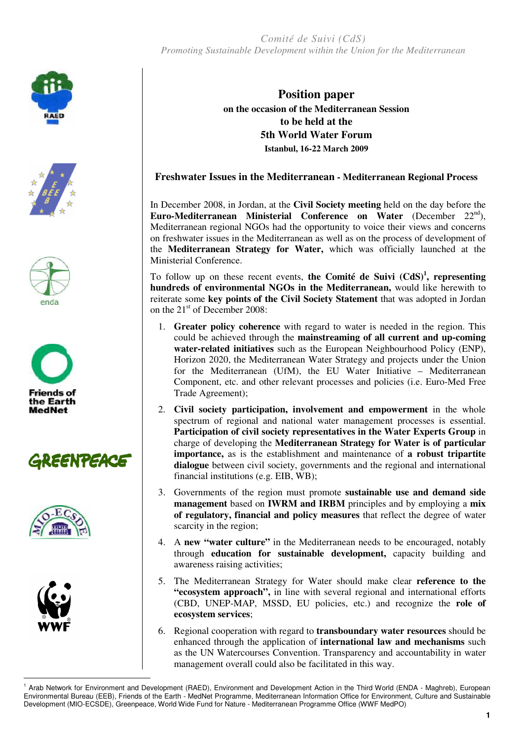*Comité de Suivi (CdS) Promoting Sustainable Development within the Union for the Mediterranean* 















 $\overline{a}$ 

**Position paper on the occasion of the Mediterranean Session to be held at the 5th World Water Forum Istanbul, 16-22 March 2009** 

## **Freshwater Issues in the Mediterranean - Mediterranean Regional Process**

In December 2008, in Jordan, at the **Civil Society meeting** held on the day before the **Euro-Mediterranean Ministerial Conference on Water** (December 22nd), Mediterranean regional NGOs had the opportunity to voice their views and concerns on freshwater issues in the Mediterranean as well as on the process of development of the **Mediterranean Strategy for Water,** which was officially launched at the Ministerial Conference.

To follow up on these recent events, **the Comité de Suivi (CdS)<sup>1</sup> , representing hundreds of environmental NGOs in the Mediterranean,** would like herewith to reiterate some **key points of the Civil Society Statement** that was adopted in Jordan on the 21<sup>st</sup> of December 2008:

- 1. **Greater policy coherence** with regard to water is needed in the region. This could be achieved through the **mainstreaming of all current and up-coming water-related initiatives** such as the European Neighbourhood Policy (ENP), Horizon 2020, the Mediterranean Water Strategy and projects under the Union for the Mediterranean (UfM), the EU Water Initiative – Mediterranean Component, etc. and other relevant processes and policies (i.e. Euro-Med Free Trade Agreement);
- 2. **Civil society participation, involvement and empowerment** in the whole spectrum of regional and national water management processes is essential. **Participation of civil society representatives in the Water Experts Group** in charge of developing the **Mediterranean Strategy for Water is of particular importance,** as is the establishment and maintenance of **a robust tripartite dialogue** between civil society, governments and the regional and international financial institutions (e.g. EIB, WB);
- 3. Governments of the region must promote **sustainable use and demand side management** based on **IWRM and IRBM** principles and by employing a **mix of regulatory, financial and policy measures** that reflect the degree of water scarcity in the region;
- 4. A **new "water culture"** in the Mediterranean needs to be encouraged, notably through **education for sustainable development,** capacity building and awareness raising activities;
- 5. The Mediterranean Strategy for Water should make clear **reference to the "ecosystem approach",** in line with several regional and international efforts (CBD, UNEP-MAP, MSSD, EU policies, etc.) and recognize the **role of ecosystem services**;
- 6. Regional cooperation with regard to **transboundary water resources** should be enhanced through the application of **international law and mechanisms** such as the UN Watercourses Convention. Transparency and accountability in water management overall could also be facilitated in this way.

<sup>&</sup>lt;sup>1</sup> Arab Network for Environment and Development (RAED), Environment and Development Action in the Third World (ENDA - Maghreb), European Environmental Bureau (EEB), Friends of the Earth - MedNet Programme, Mediterranean Information Office for Environment, Culture and Sustainable Development (MIO-ECSDE), Greenpeace, World Wide Fund for Nature - Mediterranean Programme Office (WWF MedPO)